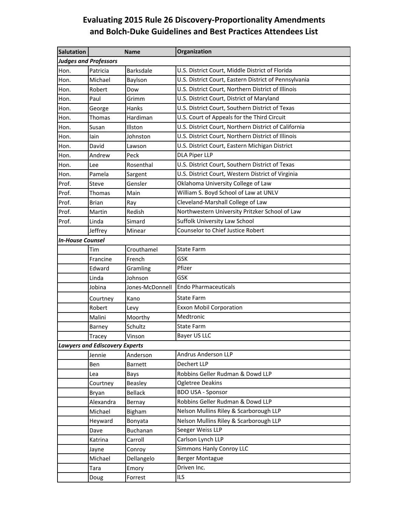## **Evaluating 2015 Rule 26 Discovery‐Proportionality Amendments and Bolch‐Duke Guidelines and Best Practices Attendees List**

| <b>Salutation</b>            |                                       | <b>Name</b>      | Organization                                          |  |  |  |
|------------------------------|---------------------------------------|------------------|-------------------------------------------------------|--|--|--|
| <b>Judges and Professors</b> |                                       |                  |                                                       |  |  |  |
| Hon.                         | Patricia                              | <b>Barksdale</b> | U.S. District Court, Middle District of Florida       |  |  |  |
| Hon.                         | Michael                               | Baylson          | U.S. District Court, Eastern District of Pennsylvania |  |  |  |
| Hon.                         | Robert                                | Dow              | U.S. District Court, Northern District of Illinois    |  |  |  |
| Hon.                         | Paul                                  | Grimm            | U.S. District Court, District of Maryland             |  |  |  |
| Hon.                         | George                                | Hanks            | U.S. District Court, Southern District of Texas       |  |  |  |
| Hon.                         | Thomas                                | Hardiman         | U.S. Court of Appeals for the Third Circuit           |  |  |  |
| Hon.                         | Susan                                 | Illston          | U.S. District Court, Northern District of California  |  |  |  |
| Hon.                         | lain                                  | Johnston         | U.S. District Court, Northern District of Illinois    |  |  |  |
| Hon.                         | David                                 | Lawson           | U.S. District Court, Eastern Michigan District        |  |  |  |
| Hon.                         | Andrew                                | Peck             | <b>DLA Piper LLP</b>                                  |  |  |  |
| Hon.                         | Lee                                   | Rosenthal        | U.S. District Court, Southern District of Texas       |  |  |  |
| Hon.                         | Pamela                                | Sargent          | U.S. District Court, Western District of Virginia     |  |  |  |
| Prof.                        | Steve                                 | Gensler          | Oklahoma University College of Law                    |  |  |  |
| Prof.                        | Thomas                                | Main             | William S. Boyd School of Law at UNLV                 |  |  |  |
| Prof.                        | <b>Brian</b>                          | Ray              | Cleveland-Marshall College of Law                     |  |  |  |
| Prof.                        | Martin                                | Redish           | Northwestern University Pritzker School of Law        |  |  |  |
| Prof.                        | Linda                                 | Simard           | Suffolk University Law School                         |  |  |  |
|                              | Jeffrey                               | Minear           | Counselor to Chief Justice Robert                     |  |  |  |
| <b>In-House Counsel</b>      |                                       |                  |                                                       |  |  |  |
|                              | Tim                                   | Crouthamel       | <b>State Farm</b>                                     |  |  |  |
|                              | Francine                              | French           | <b>GSK</b>                                            |  |  |  |
|                              | Edward                                | Gramling         | Pfizer                                                |  |  |  |
|                              | Linda                                 | Johnson          | <b>GSK</b>                                            |  |  |  |
|                              | Jobina                                | Jones-McDonnell  | <b>Endo Pharmaceuticals</b>                           |  |  |  |
|                              | Courtney                              | Kano             | <b>State Farm</b>                                     |  |  |  |
|                              | Robert                                | Levy             | <b>Exxon Mobil Corporation</b>                        |  |  |  |
|                              | Malini                                | Moorthy          | Medtronic                                             |  |  |  |
|                              | Barney                                | Schultz          | <b>State Farm</b>                                     |  |  |  |
|                              | Tracey                                | Vinson           | Bayer US LLC                                          |  |  |  |
|                              | <b>Lawyers and Ediscovery Experts</b> |                  |                                                       |  |  |  |
|                              | Jennie                                | Anderson         | Andrus Anderson LLP                                   |  |  |  |
|                              | Ben                                   | <b>Barnett</b>   | <b>Dechert LLP</b>                                    |  |  |  |
|                              | Lea                                   | Bays             | Robbins Geller Rudman & Dowd LLP                      |  |  |  |
|                              | Courtney                              | Beasley          | <b>Ogletree Deakins</b>                               |  |  |  |
|                              | Bryan                                 | Bellack          | <b>BDO USA - Sponsor</b>                              |  |  |  |
|                              | Alexandra                             | Bernay           | Robbins Geller Rudman & Dowd LLP                      |  |  |  |
|                              | Michael                               | Bigham           | Nelson Mullins Riley & Scarborough LLP                |  |  |  |
|                              | Heyward                               | Bonyata          | Nelson Mullins Riley & Scarborough LLP                |  |  |  |
|                              | Dave                                  | Buchanan         | Seeger Weiss LLP                                      |  |  |  |
|                              | Katrina                               | Carroll          | Carlson Lynch LLP                                     |  |  |  |
|                              | Jayne                                 | Conroy           | Simmons Hanly Conroy LLC                              |  |  |  |
|                              | Michael                               | Dellangelo       | <b>Berger Montague</b>                                |  |  |  |
|                              | Tara                                  | Emory            | Driven Inc.                                           |  |  |  |
|                              | Doug                                  | Forrest          | <b>ILS</b>                                            |  |  |  |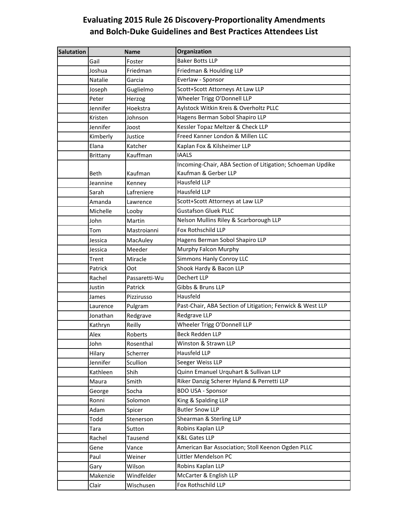## **Evaluating 2015 Rule 26 Discovery‐Proportionality Amendments and Bolch‐Duke Guidelines and Best Practices Attendees List**

| <b>Salutation</b> |                 | <b>Name</b>   | Organization                                                                       |
|-------------------|-----------------|---------------|------------------------------------------------------------------------------------|
|                   | Gail            | Foster        | <b>Baker Botts LLP</b>                                                             |
|                   | Joshua          | Friedman      | Friedman & Houlding LLP                                                            |
|                   | Natalie         | Garcia        | Everlaw - Sponsor                                                                  |
|                   | Joseph          | Guglielmo     | Scott+Scott Attorneys At Law LLP                                                   |
|                   | Peter           | Herzog        | Wheeler Trigg O'Donnell LLP                                                        |
|                   | Jennifer        | Hoekstra      | Aylstock Witkin Kreis & Overholtz PLLC                                             |
|                   | Kristen         | Johnson       | Hagens Berman Sobol Shapiro LLP                                                    |
|                   | Jennifer        | Joost         | Kessler Topaz Meltzer & Check LLP                                                  |
|                   | Kimberly        | Justice       | Freed Kanner London & Millen LLC                                                   |
|                   | Elana           | Katcher       | Kaplan Fox & Kilsheimer LLP                                                        |
|                   | <b>Brittany</b> | Kauffman      | <b>IAALS</b>                                                                       |
|                   | Beth            | Kaufman       | Incoming-Chair, ABA Section of Litigation; Schoeman Updike<br>Kaufman & Gerber LLP |
|                   | Jeannine        | Kenney        | <b>Hausfeld LLP</b>                                                                |
|                   | Sarah           | Lafreniere    | Hausfeld LLP                                                                       |
|                   | Amanda          | Lawrence      | Scott+Scott Attorneys at Law LLP                                                   |
|                   | Michelle        | Looby         | <b>Gustafson Gluek PLLC</b>                                                        |
|                   | John            | Martin        | Nelson Mullins Riley & Scarborough LLP                                             |
|                   | Tom             | Mastroianni   | Fox Rothschild LLP                                                                 |
|                   | Jessica         | MacAuley      | Hagens Berman Sobol Shapiro LLP                                                    |
|                   | Jessica         | Meeder        | Murphy Falcon Murphy                                                               |
|                   | Trent           | Miracle       | Simmons Hanly Conroy LLC                                                           |
|                   | Patrick         | Oot           | Shook Hardy & Bacon LLP                                                            |
|                   | Rachel          | Passaretti-Wu | Dechert LLP                                                                        |
|                   | Justin          | Patrick       | Gibbs & Bruns LLP                                                                  |
|                   | James           | Pizzirusso    | Hausfeld                                                                           |
|                   | Laurence        | Pulgram       | Past-Chair, ABA Section of Litigation; Fenwick & West LLP                          |
|                   | Jonathan        | Redgrave      | Redgrave LLP                                                                       |
|                   | Kathryn         | Reilly        | Wheeler Trigg O'Donnell LLP                                                        |
|                   | Alex            | Roberts       | <b>Beck Redden LLP</b>                                                             |
|                   | John            | Rosenthal     | Winston & Strawn LLP                                                               |
|                   | Hilary          | Scherrer      | <b>Hausfeld LLP</b>                                                                |
|                   | Jennifer        | Scullion      | Seeger Weiss LLP                                                                   |
|                   | Kathleen        | Shih          | Quinn Emanuel Urquhart & Sullivan LLP                                              |
|                   | Maura           | Smith         | Riker Danzig Scherer Hyland & Perretti LLP                                         |
|                   | George          | Socha         | <b>BDO USA - Sponsor</b>                                                           |
|                   | Ronni           | Solomon       | King & Spalding LLP                                                                |
|                   | Adam            | Spicer        | <b>Butler Snow LLP</b>                                                             |
|                   | Todd            | Stenerson     | Shearman & Sterling LLP                                                            |
|                   | Tara            | Sutton        | Robins Kaplan LLP                                                                  |
|                   | Rachel          | Tausend       | <b>K&amp;L Gates LLP</b>                                                           |
|                   | Gene            | Vance         | American Bar Association; Stoll Keenon Ogden PLLC                                  |
|                   | Paul            | Weiner        | Littler Mendelson PC                                                               |
|                   | Gary            | Wilson        | Robins Kaplan LLP                                                                  |
|                   | Makenzie        | Windfelder    | McCarter & English LLP                                                             |
|                   | Clair           | Wischusen     | Fox Rothschild LLP                                                                 |